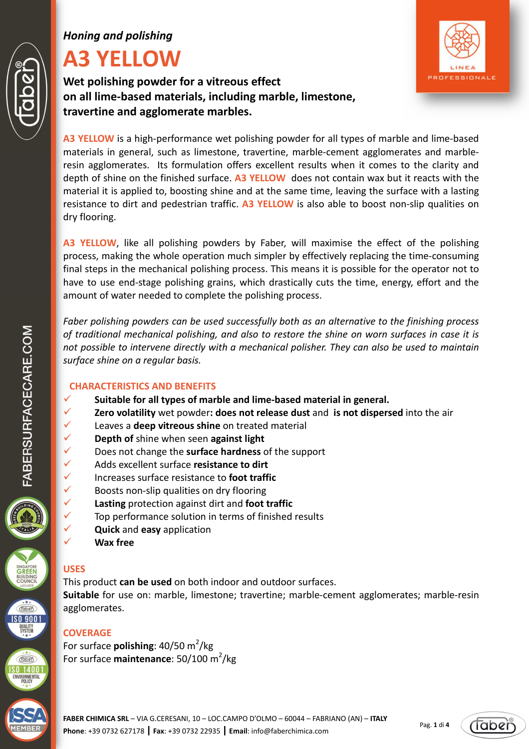# *Honing and polishing*

# **A3 YELLOW**

**Wet polishing powder for a vitreous effect on all lime-based materials, including marble, limestone, travertine and agglomerate marbles.** 



**A3 YELLOW**, like all polishing powders by Faber, will maximise the effect of the polishing process, making the whole operation much simpler by effectively replacing the time-consuming final steps in the mechanical polishing process. This means it is possible for the operator not to have to use end-stage polishing grains, which drastically cuts the time, energy, effort and the amount of water needed to complete the polishing process.

*Faber polishing powders can be used successfully both as an alternative to the finishing process of traditional mechanical polishing, and also to restore the shine on worn surfaces in case it is not possible to intervene directly with a mechanical polisher. They can also be used to maintain surface shine on a regular basis.* 

# **CHARACTERISTICS AND BENEFITS**

- **Suitable for all types of marble and lime-based material in general.**
- **Zero volatility** wet powder**: does not release dust** and **is not dispersed** into the air
- Leaves a **deep vitreous shine** on treated material
- **Depth of** shine when seen **against light**
- Does not change the **surface hardness** of the support
- Adds excellent surface **resistance to dirt**
- Increases surface resistance to **foot traffic**
- $\checkmark$  Boosts non-slip qualities on dry flooring
- **Lasting** protection against dirt and **foot traffic**
- $\checkmark$  Top performance solution in terms of finished results
	- **Quick** and **easy** application
- **Wax free**

# **USES**

This product **can be used** on both indoor and outdoor surfaces.

**Suitable** for use on: marble, limestone; travertine; marble-cement agglomerates; marble-resin agglomerates.

# **COVERAGE**

For surface **polishing**: 40/50 m<sup>2</sup>/kg For surface **maintenance**: 50/100 m<sup>2</sup>/kg

Pag. **1** di **4**





 $\widehat{(\text{label})}$ **SO 9001 QUALITY**<br>SYSTEM

**Taben**  $S014001$ ENVIRONMENTAL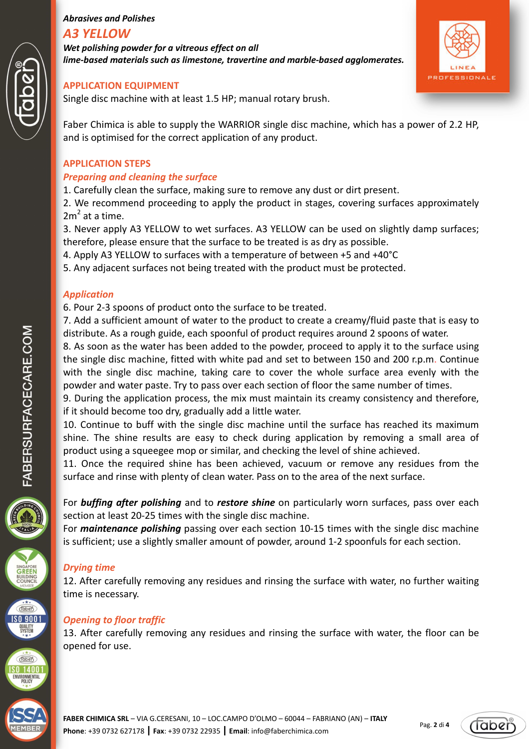# *Abrasives and Polishes A3 YELLOW*

*Wet polishing powder for a vitreous effect on all lime-based materials such as limestone, travertine and marble-based agglomerates.* 



#### **APPLICATION EQUIPMENT**

Single disc machine with at least 1.5 HP; manual rotary brush.

Faber Chimica is able to supply the WARRIOR single disc machine, which has a power of 2.2 HP, and is optimised for the correct application of any product.

#### **APPLICATION STEPS**

#### *Preparing and cleaning the surface*

1. Carefully clean the surface, making sure to remove any dust or dirt present.

2. We recommend proceeding to apply the product in stages, covering surfaces approximately  $2m<sup>2</sup>$  at a time.

3. Never apply A3 YELLOW to wet surfaces. A3 YELLOW can be used on slightly damp surfaces; therefore, please ensure that the surface to be treated is as dry as possible.

4. Apply A3 YELLOW to surfaces with a temperature of between +5 and +40°C

5. Any adjacent surfaces not being treated with the product must be protected.

## *Application*

6. Pour 2-3 spoons of product onto the surface to be treated.

7. Add a sufficient amount of water to the product to create a creamy/fluid paste that is easy to distribute. As a rough guide, each spoonful of product requires around 2 spoons of water.

8. As soon as the water has been added to the powder, proceed to apply it to the surface using the single disc machine, fitted with white pad and set to between 150 and 200 r.p.m. Continue with the single disc machine, taking care to cover the whole surface area evenly with the powder and water paste. Try to pass over each section of floor the same number of times.

9. During the application process, the mix must maintain its creamy consistency and therefore, if it should become too dry, gradually add a little water.

10. Continue to buff with the single disc machine until the surface has reached its maximum shine. The shine results are easy to check during application by removing a small area of product using a squeegee mop or similar, and checking the level of shine achieved.

11. Once the required shine has been achieved, vacuum or remove any residues from the surface and rinse with plenty of clean water. Pass on to the area of the next surface.

For *buffing after polishing* and to *restore shine* on particularly worn surfaces, pass over each section at least 20-25 times with the single disc machine.

For *maintenance polishing* passing over each section 10-15 times with the single disc machine is sufficient; use a slightly smaller amount of powder, around 1-2 spoonfuls for each section.

## *Drying time*

12. After carefully removing any residues and rinsing the surface with water, no further waiting time is necessary.

# *Opening to floor traffic*

13. After carefully removing any residues and rinsing the surface with water, the floor can be opened for use.





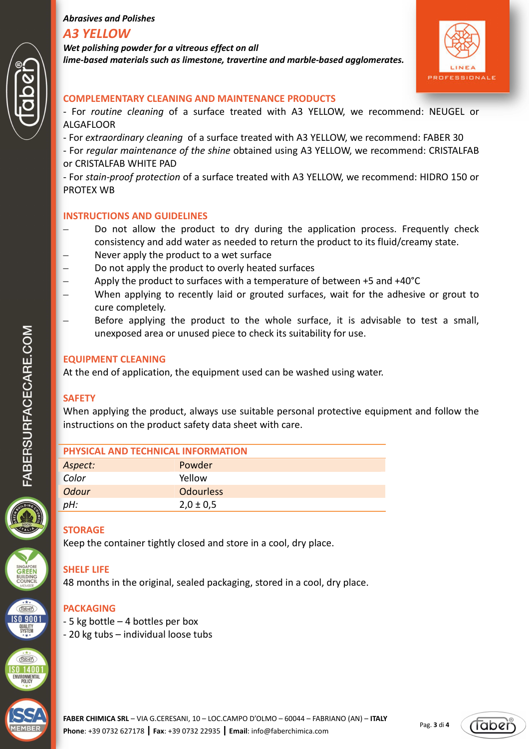## *Abrasives and Polishes A3 YELLOW*

*Wet polishing powder for a vitreous effect on all lime-based materials such as limestone, travertine and marble-based agglomerates.* 



#### **COMPLEMENTARY CLEANING AND MAINTENANCE PRODUCTS**

- For *routine cleaning* of a surface treated with A3 YELLOW, we recommend: NEUGEL or ALGAFLOOR
- For *extraordinary cleaning* of a surface treated with A3 YELLOW, we recommend: FABER 30
- For *regular maintenance of the shine* obtained using A3 YELLOW, we recommend: CRISTALFAB or CRISTALFAB WHITE PAD

- For *stain-proof protection* of a surface treated with A3 YELLOW, we recommend: HIDRO 150 or PROTEX WB

#### **INSTRUCTIONS AND GUIDELINES**

- Do not allow the product to dry during the application process. Frequently check consistency and add water as needed to return the product to its fluid/creamy state.
- Never apply the product to a wet surface
- Do not apply the product to overly heated surfaces
- Apply the product to surfaces with a temperature of between +5 and +40°C
- When applying to recently laid or grouted surfaces, wait for the adhesive or grout to cure completely.
- Before applying the product to the whole surface, it is advisable to test a small, unexposed area or unused piece to check its suitability for use.

#### **EQUIPMENT CLEANING**

At the end of application, the equipment used can be washed using water.

## **SAFETY**

When applying the product, always use suitable personal protective equipment and follow the instructions on the product safety data sheet with care.

| PHYSICAL AND TECHNICAL INFORMATION |                  |
|------------------------------------|------------------|
| Aspect:                            | Powder           |
| Color                              | Yellow           |
| <b>Odour</b>                       | <b>Odourless</b> |
| pH:                                | $2,0 \pm 0.5$    |

# **STORAGE**

Keep the container tightly closed and store in a cool, dry place.

# **SHELF LIFE**

48 months in the original, sealed packaging, stored in a cool, dry place.

## **PACKAGING**

- 5 kg bottle 4 bottles per box
- 20 kg tubs individual loose tubs





 $Table 6$  $S09001$ **QUALITY**<br>SYSTEM

**Taben**  $\overline{50}$  1400 ENVIRONMENTAL<br>POLICY